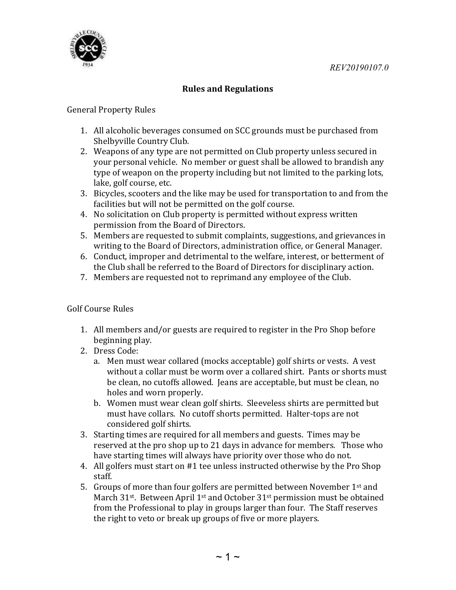REV20190107.0



## Rules and Regulations

## General Property Rules

- 1. All alcoholic beverages consumed on SCC grounds must be purchased from Shelbyville Country Club.
- 2. Weapons of any type are not permitted on Club property unless secured in your personal vehicle. No member or guest shall be allowed to brandish any type of weapon on the property including but not limited to the parking lots, lake, golf course, etc.
- 3. Bicycles, scooters and the like may be used for transportation to and from the facilities but will not be permitted on the golf course.
- 4. No solicitation on Club property is permitted without express written permission from the Board of Directors.
- 5. Members are requested to submit complaints, suggestions, and grievances in writing to the Board of Directors, administration office, or General Manager.
- 6. Conduct, improper and detrimental to the welfare, interest, or betterment of the Club shall be referred to the Board of Directors for disciplinary action.
- 7. Members are requested not to reprimand any employee of the Club.

## Golf Course Rules

- 1. All members and/or guests are required to register in the Pro Shop before beginning play.
- 2. Dress Code:
	- a. Men must wear collared (mocks acceptable) golf shirts or vests. A vest without a collar must be worm over a collared shirt. Pants or shorts must be clean, no cutoffs allowed. Jeans are acceptable, but must be clean, no holes and worn properly.
	- b. Women must wear clean golf shirts. Sleeveless shirts are permitted but must have collars. No cutoff shorts permitted. Halter-tops are not considered golf shirts.
- 3. Starting times are required for all members and guests. Times may be reserved at the pro shop up to 21 days in advance for members. Those who have starting times will always have priority over those who do not.
- 4. All golfers must start on #1 tee unless instructed otherwise by the Pro Shop staff.
- 5. Groups of more than four golfers are permitted between November  $1<sup>st</sup>$  and March 31<sup>st</sup>. Between April 1<sup>st</sup> and October 31<sup>st</sup> permission must be obtained from the Professional to play in groups larger than four. The Staff reserves the right to veto or break up groups of five or more players.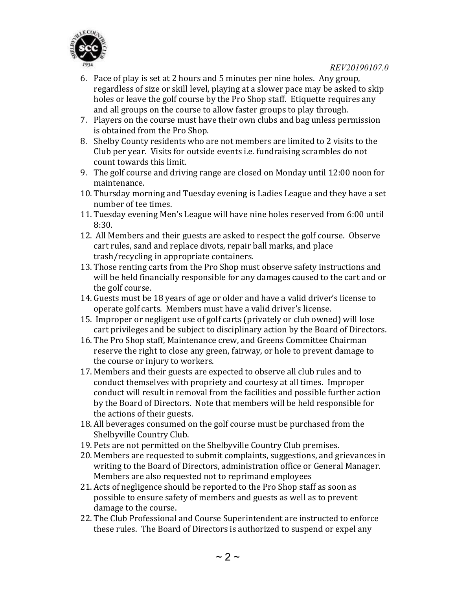

- 6. Pace of play is set at 2 hours and 5 minutes per nine holes. Any group, regardless of size or skill level, playing at a slower pace may be asked to skip holes or leave the golf course by the Pro Shop staff. Etiquette requires any and all groups on the course to allow faster groups to play through.
- 7. Players on the course must have their own clubs and bag unless permission is obtained from the Pro Shop.
- 8. Shelby County residents who are not members are limited to 2 visits to the Club per year. Visits for outside events i.e. fundraising scrambles do not count towards this limit.
- 9. The golf course and driving range are closed on Monday until 12:00 noon for maintenance.
- 10. Thursday morning and Tuesday evening is Ladies League and they have a set number of tee times.
- 11. Tuesday evening Men's League will have nine holes reserved from 6:00 until 8:30.
- 12. All Members and their guests are asked to respect the golf course. Observe cart rules, sand and replace divots, repair ball marks, and place trash/recycling in appropriate containers.
- 13. Those renting carts from the Pro Shop must observe safety instructions and will be held financially responsible for any damages caused to the cart and or the golf course.
- 14. Guests must be 18 years of age or older and have a valid driver's license to operate golf carts. Members must have a valid driver's license.
- 15. Improper or negligent use of golf carts (privately or club owned) will lose cart privileges and be subject to disciplinary action by the Board of Directors.
- 16. The Pro Shop staff, Maintenance crew, and Greens Committee Chairman reserve the right to close any green, fairway, or hole to prevent damage to the course or injury to workers.
- 17. Members and their guests are expected to observe all club rules and to conduct themselves with propriety and courtesy at all times. Improper conduct will result in removal from the facilities and possible further action by the Board of Directors. Note that members will be held responsible for the actions of their guests.
- 18. All beverages consumed on the golf course must be purchased from the Shelbyville Country Club.
- 19. Pets are not permitted on the Shelbyville Country Club premises.
- 20. Members are requested to submit complaints, suggestions, and grievances in writing to the Board of Directors, administration office or General Manager. Members are also requested not to reprimand employees
- 21. Acts of negligence should be reported to the Pro Shop staff as soon as possible to ensure safety of members and guests as well as to prevent damage to the course.
- 22. The Club Professional and Course Superintendent are instructed to enforce these rules. The Board of Directors is authorized to suspend or expel any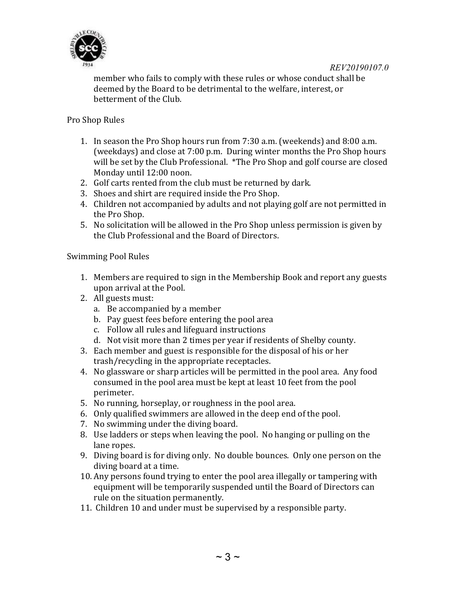



member who fails to comply with these rules or whose conduct shall be deemed by the Board to be detrimental to the welfare, interest, or betterment of the Club.

Pro Shop Rules

- 1. In season the Pro Shop hours run from 7:30 a.m. (weekends) and 8:00 a.m. (weekdays) and close at 7:00 p.m. During winter months the Pro Shop hours will be set by the Club Professional. \*The Pro Shop and golf course are closed Monday until 12:00 noon.
- 2. Golf carts rented from the club must be returned by dark.
- 3. Shoes and shirt are required inside the Pro Shop.
- 4. Children not accompanied by adults and not playing golf are not permitted in the Pro Shop.
- 5. No solicitation will be allowed in the Pro Shop unless permission is given by the Club Professional and the Board of Directors.

Swimming Pool Rules

- 1. Members are required to sign in the Membership Book and report any guests upon arrival at the Pool.
- 2. All guests must:
	- a. Be accompanied by a member
	- b. Pay guest fees before entering the pool area
	- c. Follow all rules and lifeguard instructions
	- d. Not visit more than 2 times per year if residents of Shelby county.
- 3. Each member and guest is responsible for the disposal of his or her trash/recycling in the appropriate receptacles.
- 4. No glassware or sharp articles will be permitted in the pool area. Any food consumed in the pool area must be kept at least 10 feet from the pool perimeter.
- 5. No running, horseplay, or roughness in the pool area.
- 6. Only qualified swimmers are allowed in the deep end of the pool.
- 7. No swimming under the diving board.
- 8. Use ladders or steps when leaving the pool. No hanging or pulling on the lane ropes.
- 9. Diving board is for diving only. No double bounces. Only one person on the diving board at a time.
- 10. Any persons found trying to enter the pool area illegally or tampering with equipment will be temporarily suspended until the Board of Directors can rule on the situation permanently.
- 11. Children 10 and under must be supervised by a responsible party.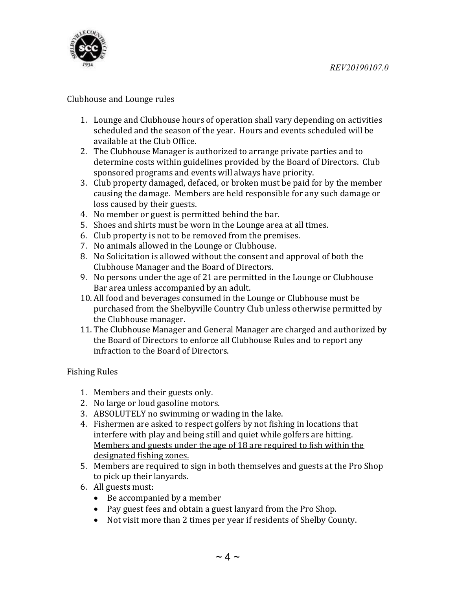

## Clubhouse and Lounge rules

- 1. Lounge and Clubhouse hours of operation shall vary depending on activities scheduled and the season of the year. Hours and events scheduled will be available at the Club Office.
- 2. The Clubhouse Manager is authorized to arrange private parties and to determine costs within guidelines provided by the Board of Directors. Club sponsored programs and events will always have priority.
- 3. Club property damaged, defaced, or broken must be paid for by the member causing the damage. Members are held responsible for any such damage or loss caused by their guests.
- 4. No member or guest is permitted behind the bar.
- 5. Shoes and shirts must be worn in the Lounge area at all times.
- 6. Club property is not to be removed from the premises.
- 7. No animals allowed in the Lounge or Clubhouse.
- 8. No Solicitation is allowed without the consent and approval of both the Clubhouse Manager and the Board of Directors.
- 9. No persons under the age of 21 are permitted in the Lounge or Clubhouse Bar area unless accompanied by an adult.
- 10. All food and beverages consumed in the Lounge or Clubhouse must be purchased from the Shelbyville Country Club unless otherwise permitted by the Clubhouse manager.
- 11. The Clubhouse Manager and General Manager are charged and authorized by the Board of Directors to enforce all Clubhouse Rules and to report any infraction to the Board of Directors.

Fishing Rules

- 1. Members and their guests only.
- 2. No large or loud gasoline motors.
- 3. ABSOLUTELY no swimming or wading in the lake.
- 4. Fishermen are asked to respect golfers by not fishing in locations that interfere with play and being still and quiet while golfers are hitting. Members and guests under the age of 18 are required to fish within the designated fishing zones.
- 5. Members are required to sign in both themselves and guests at the Pro Shop to pick up their lanyards.
- 6. All guests must:
	- Be accompanied by a member
	- Pay guest fees and obtain a guest lanyard from the Pro Shop.
	- Not visit more than 2 times per year if residents of Shelby County.